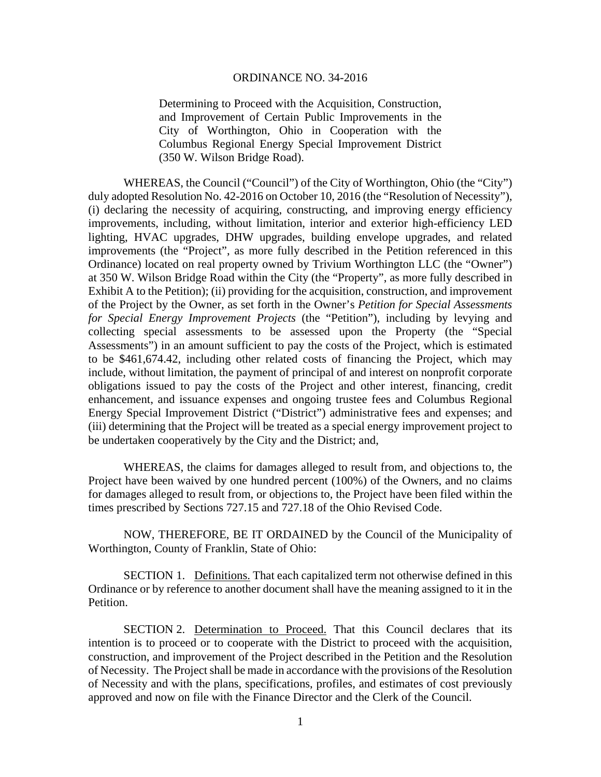## ORDINANCE NO. 34-2016

Determining to Proceed with the Acquisition, Construction, and Improvement of Certain Public Improvements in the City of Worthington, Ohio in Cooperation with the Columbus Regional Energy Special Improvement District (350 W. Wilson Bridge Road).

WHEREAS, the Council ("Council") of the City of Worthington, Ohio (the "City") duly adopted Resolution No. 42-2016 on October 10, 2016 (the "Resolution of Necessity"), (i) declaring the necessity of acquiring, constructing, and improving energy efficiency improvements, including, without limitation, interior and exterior high-efficiency LED lighting, HVAC upgrades, DHW upgrades, building envelope upgrades, and related improvements (the "Project", as more fully described in the Petition referenced in this Ordinance) located on real property owned by Trivium Worthington LLC (the "Owner") at 350 W. Wilson Bridge Road within the City (the "Property", as more fully described in Exhibit A to the Petition); (ii) providing for the acquisition, construction, and improvement of the Project by the Owner, as set forth in the Owner's *Petition for Special Assessments for Special Energy Improvement Projects* (the "Petition"), including by levying and collecting special assessments to be assessed upon the Property (the "Special Assessments") in an amount sufficient to pay the costs of the Project, which is estimated to be \$461,674.42, including other related costs of financing the Project, which may include, without limitation, the payment of principal of and interest on nonprofit corporate obligations issued to pay the costs of the Project and other interest, financing, credit enhancement, and issuance expenses and ongoing trustee fees and Columbus Regional Energy Special Improvement District ("District") administrative fees and expenses; and (iii) determining that the Project will be treated as a special energy improvement project to be undertaken cooperatively by the City and the District; and,

WHEREAS, the claims for damages alleged to result from, and objections to, the Project have been waived by one hundred percent (100%) of the Owners, and no claims for damages alleged to result from, or objections to, the Project have been filed within the times prescribed by Sections 727.15 and 727.18 of the Ohio Revised Code.

NOW, THEREFORE, BE IT ORDAINED by the Council of the Municipality of Worthington, County of Franklin, State of Ohio:

SECTION 1. Definitions. That each capitalized term not otherwise defined in this Ordinance or by reference to another document shall have the meaning assigned to it in the Petition.

SECTION 2. Determination to Proceed. That this Council declares that its intention is to proceed or to cooperate with the District to proceed with the acquisition, construction, and improvement of the Project described in the Petition and the Resolution of Necessity. The Project shall be made in accordance with the provisions of the Resolution of Necessity and with the plans, specifications, profiles, and estimates of cost previously approved and now on file with the Finance Director and the Clerk of the Council.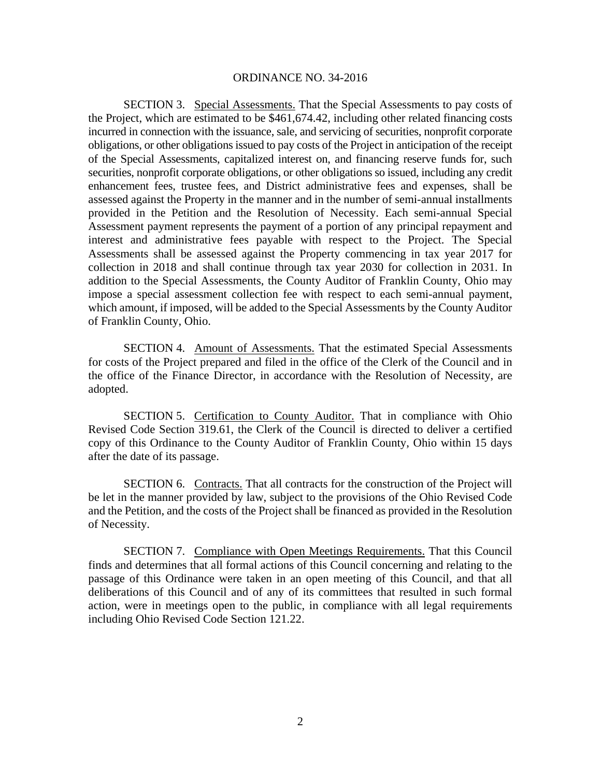## ORDINANCE NO. 34-2016

SECTION 3. Special Assessments. That the Special Assessments to pay costs of the Project, which are estimated to be \$461,674.42, including other related financing costs incurred in connection with the issuance, sale, and servicing of securities, nonprofit corporate obligations, or other obligations issued to pay costs of the Project in anticipation of the receipt of the Special Assessments, capitalized interest on, and financing reserve funds for, such securities, nonprofit corporate obligations, or other obligations so issued, including any credit enhancement fees, trustee fees, and District administrative fees and expenses, shall be assessed against the Property in the manner and in the number of semi-annual installments provided in the Petition and the Resolution of Necessity. Each semi-annual Special Assessment payment represents the payment of a portion of any principal repayment and interest and administrative fees payable with respect to the Project. The Special Assessments shall be assessed against the Property commencing in tax year 2017 for collection in 2018 and shall continue through tax year 2030 for collection in 2031. In addition to the Special Assessments, the County Auditor of Franklin County, Ohio may impose a special assessment collection fee with respect to each semi-annual payment, which amount, if imposed, will be added to the Special Assessments by the County Auditor of Franklin County, Ohio.

SECTION 4. Amount of Assessments. That the estimated Special Assessments for costs of the Project prepared and filed in the office of the Clerk of the Council and in the office of the Finance Director, in accordance with the Resolution of Necessity, are adopted.

SECTION 5. Certification to County Auditor. That in compliance with Ohio Revised Code Section 319.61, the Clerk of the Council is directed to deliver a certified copy of this Ordinance to the County Auditor of Franklin County, Ohio within 15 days after the date of its passage.

SECTION 6. Contracts. That all contracts for the construction of the Project will be let in the manner provided by law, subject to the provisions of the Ohio Revised Code and the Petition, and the costs of the Project shall be financed as provided in the Resolution of Necessity.

SECTION 7. Compliance with Open Meetings Requirements. That this Council finds and determines that all formal actions of this Council concerning and relating to the passage of this Ordinance were taken in an open meeting of this Council, and that all deliberations of this Council and of any of its committees that resulted in such formal action, were in meetings open to the public, in compliance with all legal requirements including Ohio Revised Code Section 121.22.